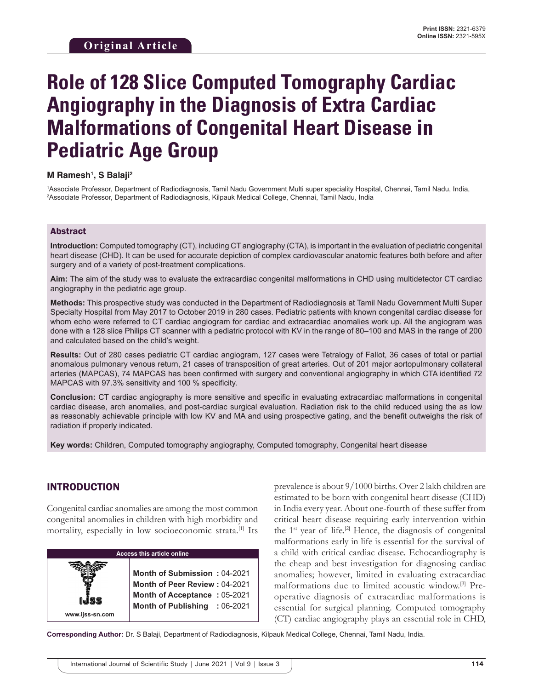# **Role of 128 Slice Computed Tomography Cardiac Angiography in the Diagnosis of Extra Cardiac Malformations of Congenital Heart Disease in Pediatric Age Group**

#### **M Ramesh1 , S Balaji2**

1 Associate Professor, Department of Radiodiagnosis, Tamil Nadu Government Multi super speciality Hospital, Chennai, Tamil Nadu, India, 2 Associate Professor, Department of Radiodiagnosis, Kilpauk Medical College, Chennai, Tamil Nadu, India

#### Abstract

**Introduction:** Computed tomography (CT), including CT angiography (CTA), is important in the evaluation of pediatric congenital heart disease (CHD). It can be used for accurate depiction of complex cardiovascular anatomic features both before and after surgery and of a variety of post-treatment complications.

**Aim:** The aim of the study was to evaluate the extracardiac congenital malformations in CHD using multidetector CT cardiac angiography in the pediatric age group.

**Methods:** This prospective study was conducted in the Department of Radiodiagnosis at Tamil Nadu Government Multi Super Specialty Hospital from May 2017 to October 2019 in 280 cases. Pediatric patients with known congenital cardiac disease for whom echo were referred to CT cardiac angiogram for cardiac and extracardiac anomalies work up. All the angiogram was done with a 128 slice Philips CT scanner with a pediatric protocol with KV in the range of 80–100 and MAS in the range of 200 and calculated based on the child's weight.

**Results:** Out of 280 cases pediatric CT cardiac angiogram, 127 cases were Tetralogy of Fallot, 36 cases of total or partial anomalous pulmonary venous return, 21 cases of transposition of great arteries. Out of 201 major aortopulmonary collateral arteries (MAPCAS), 74 MAPCAS has been confirmed with surgery and conventional angiography in which CTA identified 72 MAPCAS with 97.3% sensitivity and 100 % specificity.

**Conclusion:** CT cardiac angiography is more sensitive and specific in evaluating extracardiac malformations in congenital cardiac disease, arch anomalies, and post-cardiac surgical evaluation. Radiation risk to the child reduced using the as low as reasonably achievable principle with low KV and MA and using prospective gating, and the benefit outweighs the risk of radiation if properly indicated.

**Key words:** Children, Computed tomography angiography, Computed tomography, Congenital heart disease

## INTRODUCTION

**www.ijss-sn.com**

Congenital cardiac anomalies are among the most common congenital anomalies in children with high morbidity and mortality, especially in low socioeconomic strata.[1] Its

| Access this article online |  |  |  |
|----------------------------|--|--|--|
|                            |  |  |  |

**Month of Submission :** 04-2021 **Month of Peer Review :** 04-2021 **Month of Acceptance :** 05-2021 **Month of Publishing :** 06-2021 prevalence is about 9/1000 births. Over 2 lakh children are estimated to be born with congenital heart disease (CHD) in India every year. About one-fourth of these suffer from critical heart disease requiring early intervention within the  $1<sup>st</sup>$  year of life.<sup>[2]</sup> Hence, the diagnosis of congenital malformations early in life is essential for the survival of a child with critical cardiac disease*.* Echocardiography is the cheap and best investigation for diagnosing cardiac anomalies; however, limited in evaluating extracardiac malformations due to limited acoustic window.[3] Preoperative diagnosis of extracardiac malformations is essential for surgical planning*.* Computed tomography (CT) cardiac angiography plays an essential role in CHD,

**Corresponding Author:** Dr. S Balaji, Department of Radiodiagnosis, Kilpauk Medical College, Chennai, Tamil Nadu, India.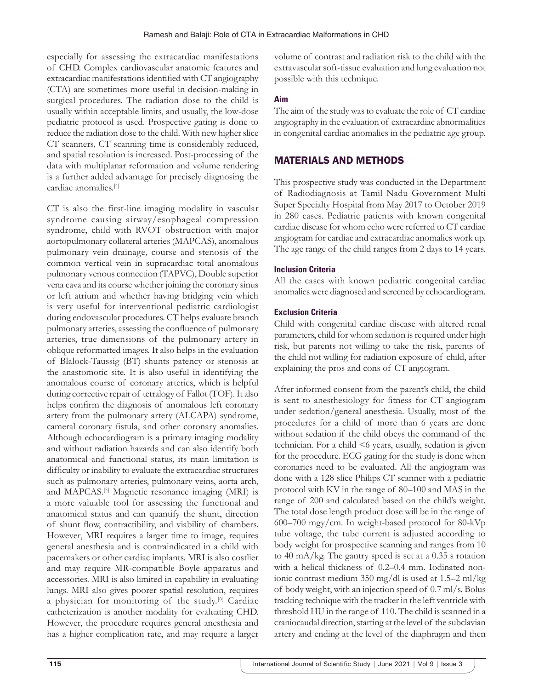especially for assessing the extracardiac manifestations of CHD. Complex cardiovascular anatomic features and extracardiac manifestations identified with CT angiography (CTA) are sometimes more useful in decision-making in surgical procedures. The radiation dose to the child is usually within acceptable limits, and usually, the low-dose pediatric protocol is used. Prospective gating is done to reduce the radiation dose to the child. With new higher slice CT scanners, CT scanning time is considerably reduced, and spatial resolution is increased. Post-processing of the data with multiplanar reformation and volume rendering is a further added advantage for precisely diagnosing the cardiac anomalies.[4]

CT is also the first-line imaging modality in vascular syndrome causing airway/esophageal compression syndrome, child with RVOT obstruction with major aortopulmonary collateral arteries (MAPCAS), anomalous pulmonary vein drainage, course and stenosis of the common vertical vein in supracardiac total anomalous pulmonary venous connection (TAPVC), Double superior vena cava and its course whether joining the coronary sinus or left atrium and whether having bridging vein which is very useful for interventional pediatric cardiologist during endovascular procedures. CT helps evaluate branch pulmonary arteries, assessing the confluence of pulmonary arteries, true dimensions of the pulmonary artery in oblique reformatted images. It also helps in the evaluation of Blalock-Taussig (BT) shunts patency or stenosis at the anastomotic site. It is also useful in identifying the anomalous course of coronary arteries, which is helpful during corrective repair of tetralogy of Fallot (TOF). It also helps confirm the diagnosis of anomalous left coronary artery from the pulmonary artery (ALCAPA) syndrome, cameral coronary fistula, and other coronary anomalies. Although echocardiogram is a primary imaging modality and without radiation hazards and can also identify both anatomical and functional status, its main limitation is difficulty or inability to evaluate the extracardiac structures such as pulmonary arteries, pulmonary veins, aorta arch, and MAPCAS.[5] Magnetic resonance imaging (MRI) is a more valuable tool for assessing the functional and anatomical status and can quantify the shunt, direction of shunt flow, contractibility, and viability of chambers. However, MRI requires a larger time to image, requires general anesthesia and is contraindicated in a child with pacemakers or other cardiac implants. MRI is also costlier and may require MR-compatible Boyle apparatus and accessories. MRI is also limited in capability in evaluating lungs. MRI also gives poorer spatial resolution, requires a physician for monitoring of the study.[6] Cardiac catheterization is another modality for evaluating CHD. However, the procedure requires general anesthesia and has a higher complication rate, and may require a larger

volume of contrast and radiation risk to the child with the extravascular soft-tissue evaluation and lung evaluation not possible with this technique.

### **Aim**

The aim of the study was to evaluate the role of CT cardiac angiography in the evaluation of extracardiac abnormalities in congenital cardiac anomalies in the pediatric age group.

# MATERIALS AND METHODS

This prospective study was conducted in the Department of Radiodiagnosis at Tamil Nadu Government Multi Super Specialty Hospital from May 2017 to October 2019 in 280 cases. Pediatric patients with known congenital cardiac disease for whom echo were referred to CT cardiac angiogram for cardiac and extracardiac anomalies work up. The age range of the child ranges from 2 days to 14 years.

## **Inclusion Criteria**

All the cases with known pediatric congenital cardiac anomalies were diagnosed and screened by echocardiogram.

## **Exclusion Criteria**

Child with congenital cardiac disease with altered renal parameters, child for whom sedation is required under high risk, but parents not willing to take the risk, parents of the child not willing for radiation exposure of child, after explaining the pros and cons of CT angiogram.

After informed consent from the parent's child, the child is sent to anesthesiology for fitness for CT angiogram under sedation/general anesthesia. Usually, most of the procedures for a child of more than 6 years are done without sedation if the child obeys the command of the technician. For a child <6 years, usually, sedation is given for the procedure. ECG gating for the study is done when coronaries need to be evaluated. All the angiogram was done with a 128 slice Philips CT scanner with a pediatric protocol with KV in the range of 80–100 and MAS in the range of 200 and calculated based on the child's weight. The total dose length product dose will be in the range of 600–700 mgy/cm. In weight-based protocol for 80-kVp tube voltage, the tube current is adjusted according to body weight for prospective scanning and ranges from 10 to 40 mA/kg. The gantry speed is set at a 0.35 s rotation with a helical thickness of 0.2–0.4 mm. Iodinated nonionic contrast medium 350 mg/dl is used at 1.5–2 ml/kg of body weight, with an injection speed of 0.7 ml/s. Bolus tracking technique with the tracker in the left ventricle with threshold HU in the range of 110. The child is scanned in a craniocaudal direction, starting at the level of the subclavian artery and ending at the level of the diaphragm and then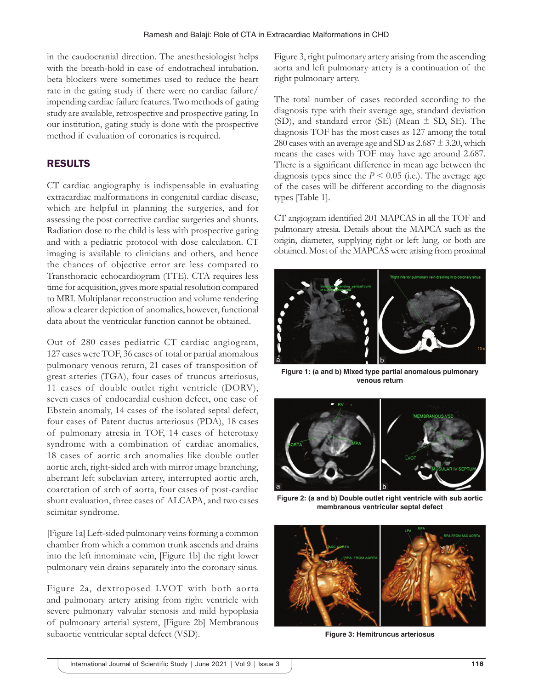in the caudocranial direction. The anesthesiologist helps with the breath-hold in case of endotracheal intubation. beta blockers were sometimes used to reduce the heart rate in the gating study if there were no cardiac failure/ impending cardiac failure features. Two methods of gating study are available, retrospective and prospective gating. In our institution, gating study is done with the prospective method if evaluation of coronaries is required.

# RESULTS

CT cardiac angiography is indispensable in evaluating extracardiac malformations in congenital cardiac disease, which are helpful in planning the surgeries, and for assessing the post corrective cardiac surgeries and shunts. Radiation dose to the child is less with prospective gating and with a pediatric protocol with dose calculation. CT imaging is available to clinicians and others, and hence the chances of objective error are less compared to Transthoracic echocardiogram (TTE). CTA requires less time for acquisition, gives more spatial resolution compared to MRI. Multiplanar reconstruction and volume rendering allow a clearer depiction of anomalies, however, functional data about the ventricular function cannot be obtained.

Out of 280 cases pediatric CT cardiac angiogram, 127 cases were TOF, 36 cases of total or partial anomalous pulmonary venous return, 21 cases of transposition of great arteries (TGA), four cases of truncus arteriosus, 11 cases of double outlet right ventricle (DORV), seven cases of endocardial cushion defect, one case of Ebstein anomaly, 14 cases of the isolated septal defect, four cases of Patent ductus arteriosus (PDA), 18 cases of pulmonary atresia in TOF, 14 cases of heterotaxy syndrome with a combination of cardiac anomalies, 18 cases of aortic arch anomalies like double outlet aortic arch, right-sided arch with mirror image branching, aberrant left subclavian artery, interrupted aortic arch, coarctation of arch of aorta, four cases of post-cardiac shunt evaluation, three cases of ALCAPA, and two cases scimitar syndrome.

[Figure 1a] Left-sided pulmonary veins forming a common chamber from which a common trunk ascends and drains into the left innominate vein, [Figure 1b] the right lower pulmonary vein drains separately into the coronary sinus.

Figure 2a, dextroposed LVOT with both aorta and pulmonary artery arising from right ventricle with severe pulmonary valvular stenosis and mild hypoplasia of pulmonary arterial system, [Figure 2b] Membranous subaortic ventricular septal defect (VSD).

Figure 3, right pulmonary artery arising from the ascending aorta and left pulmonary artery is a continuation of the right pulmonary artery.

The total number of cases recorded according to the diagnosis type with their average age, standard deviation (SD), and standard error (SE) (Mean ± SD, SE). The diagnosis TOF has the most cases as 127 among the total 280 cases with an average age and SD as  $2.687 \pm 3.20$ , which means the cases with TOF may have age around 2.687. There is a significant difference in mean age between the diagnosis types since the  $P < 0.05$  (i.e.). The average age of the cases will be different according to the diagnosis types [Table 1].

CT angiogram identified 201 MAPCAS in all the TOF and pulmonary atresia. Details about the MAPCA such as the origin, diameter, supplying right or left lung, or both are obtained. Most of the MAPCAS were arising from proximal



**Figure 1: (a and b) Mixed type partial anomalous pulmonary venous return**



**Figure 2: (a and b) Double outlet right ventricle with sub aortic membranous ventricular septal defect**



**Figure 3: Hemitruncus arteriosus**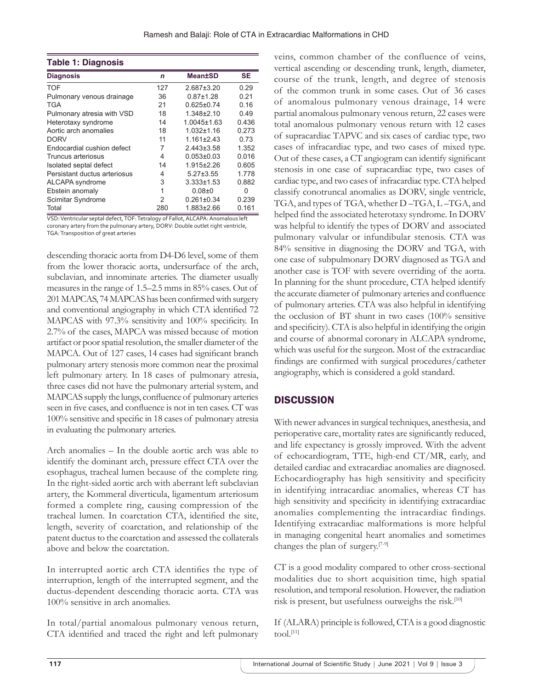| Table 1: Diagnosis           |              |                   |           |  |
|------------------------------|--------------|-------------------|-----------|--|
| <b>Diagnosis</b>             | $\mathsf{n}$ | <b>Mean±SD</b>    | <b>SE</b> |  |
| TOF                          | 127          | $2.687 \pm 3.20$  | 0.29      |  |
| Pulmonary venous drainage    | 36           | $0.87 + 1.28$     | 0.21      |  |
| TGA                          | 21           | $0.625 \pm 0.74$  | 0.16      |  |
| Pulmonary atresia with VSD   | 18           | $1.348 \pm 2.10$  | 0.49      |  |
| Heterotaxy syndrome          | 14           | $1.0045 \pm 1.63$ | 0.436     |  |
| Aortic arch anomalies        | 18           | $1.032 \pm 1.16$  | 0.273     |  |
| <b>DORV</b>                  | 11           | $1.161 \pm 2.43$  | 0.73      |  |
| Endocardial cushion defect   | 7            | $2.443 \pm 3.58$  | 1.352     |  |
| Truncus arteriosus           | 4            | $0.053 \pm 0.03$  | 0.016     |  |
| Isolated septal defect       | 14           | $1.915 \pm 2.26$  | 0.605     |  |
| Persistant ductus arteriosus | 4            | $5.27 \pm 3.55$   | 1.778     |  |
| ALCAPA syndrome              | 3            | $3.333 \pm 1.53$  | 0.882     |  |
| Ebstein anomaly              | 1            | $0.08 + 0$        | 0         |  |
| Scimitar Syndrome            | 2            | $0.261 \pm 0.34$  | 0.239     |  |
| Total                        | 280          | 1.883±2.66        | 0.161     |  |

VSD: Ventricular septal defect, TOF: Tetralogy of Fallot, ALCAPA: Anomalous left coronary artery from the pulmonary artery, DORV: Double outlet right ventricle, TGA: Transposition of great arteries

descending thoracic aorta from D4-D6 level, some of them from the lower thoracic aorta, undersurface of the arch, subclavian, and innominate arteries. The diameter usually measures in the range of 1.5–2.5 mms in 85% cases. Out of 201 MAPCAS, 74 MAPCAS has been confirmed with surgery and conventional angiography in which CTA identified 72 MAPCAS with 97.3% sensitivity and 100% specificity. In 2.7% of the cases, MAPCA was missed because of motion artifact or poor spatial resolution, the smaller diameter of the MAPCA. Out of 127 cases, 14 cases had significant branch pulmonary artery stenosis more common near the proximal left pulmonary artery. In 18 cases of pulmonary atresia, three cases did not have the pulmonary arterial system, and MAPCAS supply the lungs, confluence of pulmonary arteries seen in five cases, and confluence is not in ten cases. CT was 100% sensitive and specific in 18 cases of pulmonary atresia in evaluating the pulmonary arteries.

Arch anomalies – In the double aortic arch was able to identify the dominant arch, pressure effect CTA over the esophagus, tracheal lumen because of the complete ring. In the right-sided aortic arch with aberrant left subclavian artery, the Kommeral diverticula, ligamentum arteriosum formed a complete ring, causing compression of the tracheal lumen. In coarctation CTA, identified the site, length, severity of coarctation, and relationship of the patent ductus to the coarctation and assessed the collaterals above and below the coarctation.

In interrupted aortic arch CTA identifies the type of interruption, length of the interrupted segment, and the ductus-dependent descending thoracic aorta. CTA was 100% sensitive in arch anomalies.

In total/partial anomalous pulmonary venous return, CTA identified and traced the right and left pulmonary veins, common chamber of the confluence of veins, vertical ascending or descending trunk, length, diameter, course of the trunk, length, and degree of stenosis of the common trunk in some cases. Out of 36 cases of anomalous pulmonary venous drainage, 14 were partial anomalous pulmonary venous return, 22 cases were total anomalous pulmonary venous return with 12 cases of supracardiac TAPVC and six cases of cardiac type, two cases of infracardiac type, and two cases of mixed type. Out of these cases, a CT angiogram can identify significant stenosis in one case of supracardiac type, two cases of cardiac type, and two cases of infracardiac type. CTA helped classify conotruncal anomalies as DORV, single ventricle, TGA, and types of TGA, whether D –TGA, L –TGA, and helped find the associated heterotaxy syndrome. In DORV was helpful to identify the types of DORV and associated pulmonary valvular or infundibular stenosis. CTA was 84% sensitive in diagnosing the DORV and TGA, with one case of subpulmonary DORV diagnosed as TGA and another case is TOF with severe overriding of the aorta. In planning for the shunt procedure, CTA helped identify the accurate diameter of pulmonary arteries and confluence of pulmonary arteries. CTA was also helpful in identifying the occlusion of BT shunt in two cases (100% sensitive and specificity). CTA is also helpful in identifying the origin and course of abnormal coronary in ALCAPA syndrome, which was useful for the surgeon. Most of the extracardiac findings are confirmed with surgical procedures/catheter angiography, which is considered a gold standard.

# **DISCUSSION**

With newer advances in surgical techniques, anesthesia, and perioperative care, mortality rates are significantly reduced, and life expectancy is grossly improved. With the advent of echocardiogram, TTE, high-end CT/MR, early, and detailed cardiac and extracardiac anomalies are diagnosed. Echocardiography has high sensitivity and specificity in identifying intracardiac anomalies, whereas CT has high sensitivity and specificity in identifying extracardiac anomalies complementing the intracardiac findings. Identifying extracardiac malformations is more helpful in managing congenital heart anomalies and sometimes changes the plan of surgery.[7-9]

CT is a good modality compared to other cross-sectional modalities due to short acquisition time, high spatial resolution, and temporal resolution. However, the radiation risk is present, but usefulness outweighs the risk.<sup>[10]</sup>

If (ALARA) principle is followed, CTA is a good diagnostic tool.[11]